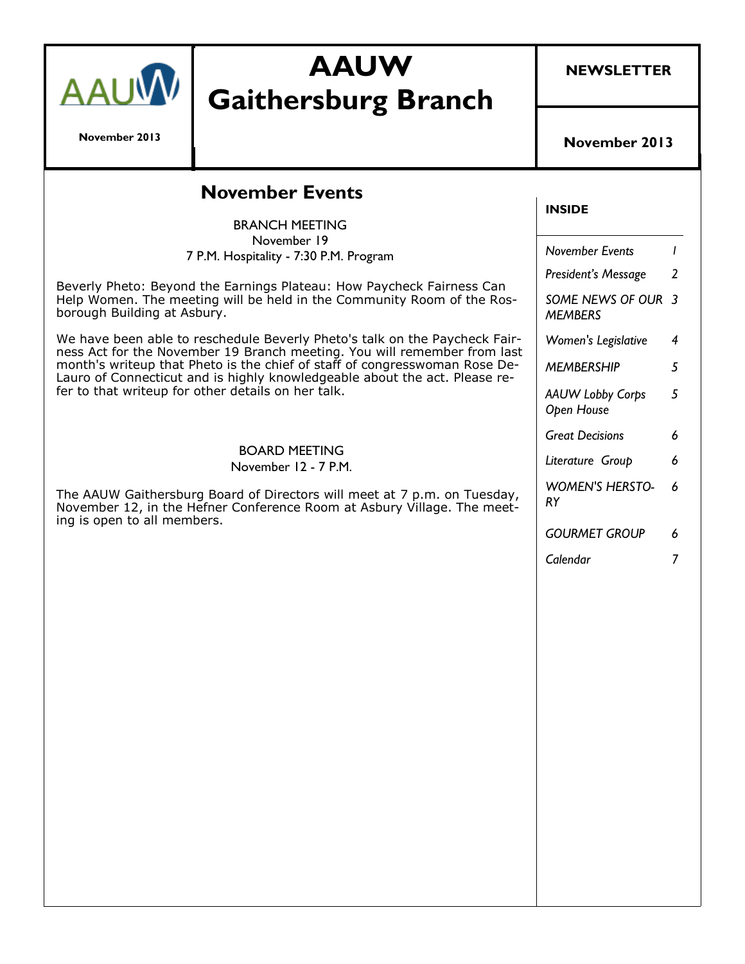# **AAUW Gaithersburg Branch**

**November 2013**

**November 2013**

**NEWSLETTER**

| <b>November Events</b><br><b>BRANCH MEETING</b><br>November 19<br>7 P.M. Hospitality - 7:30 P.M. Program                                                                                                                                                                                                                                                                 | <b>INSIDE</b>                                 |                                  |
|--------------------------------------------------------------------------------------------------------------------------------------------------------------------------------------------------------------------------------------------------------------------------------------------------------------------------------------------------------------------------|-----------------------------------------------|----------------------------------|
|                                                                                                                                                                                                                                                                                                                                                                          | <b>November Events</b><br>President's Message | $\overline{1}$<br>$\overline{2}$ |
| Beverly Pheto: Beyond the Earnings Plateau: How Paycheck Fairness Can<br>Help Women. The meeting will be held in the Community Room of the Ros-<br>borough Building at Asbury.                                                                                                                                                                                           | SOME NEWS OF OUR 3<br><b>MEMBERS</b>          |                                  |
| We have been able to reschedule Beverly Pheto's talk on the Paycheck Fair-<br>ness Act for the November 19 Branch meeting. You will remember from last<br>month's writeup that Pheto is the chief of staff of congresswoman Rose De-<br>Lauro of Connecticut and is highly knowledgeable about the act. Please re-<br>fer to that writeup for other details on her talk. | Women's Legislative<br><b>MEMBERSHIP</b>      | 4<br>5                           |
|                                                                                                                                                                                                                                                                                                                                                                          | <b>AAUW Lobby Corps</b><br>Open House         | 5                                |
| <b>BOARD MEETING</b><br>November 12 - 7 P.M.                                                                                                                                                                                                                                                                                                                             | <b>Great Decisions</b>                        | 6                                |
|                                                                                                                                                                                                                                                                                                                                                                          | Literature Group                              | 6                                |
| The AAUW Gaithersburg Board of Directors will meet at 7 p.m. on Tuesday,<br>November 12, in the Hefner Conference Room at Asbury Village. The meet-<br>ing is open to all members.                                                                                                                                                                                       | <b>WOMEN'S HERSTO-</b><br><b>RY</b>           | 6                                |
|                                                                                                                                                                                                                                                                                                                                                                          | <b>GOURMET GROUP</b>                          | 6                                |
|                                                                                                                                                                                                                                                                                                                                                                          | Calendar                                      | 7                                |
|                                                                                                                                                                                                                                                                                                                                                                          |                                               |                                  |
|                                                                                                                                                                                                                                                                                                                                                                          |                                               |                                  |
|                                                                                                                                                                                                                                                                                                                                                                          |                                               |                                  |
|                                                                                                                                                                                                                                                                                                                                                                          |                                               |                                  |
|                                                                                                                                                                                                                                                                                                                                                                          |                                               |                                  |
|                                                                                                                                                                                                                                                                                                                                                                          |                                               |                                  |
|                                                                                                                                                                                                                                                                                                                                                                          |                                               |                                  |
|                                                                                                                                                                                                                                                                                                                                                                          |                                               |                                  |
|                                                                                                                                                                                                                                                                                                                                                                          |                                               |                                  |
|                                                                                                                                                                                                                                                                                                                                                                          |                                               |                                  |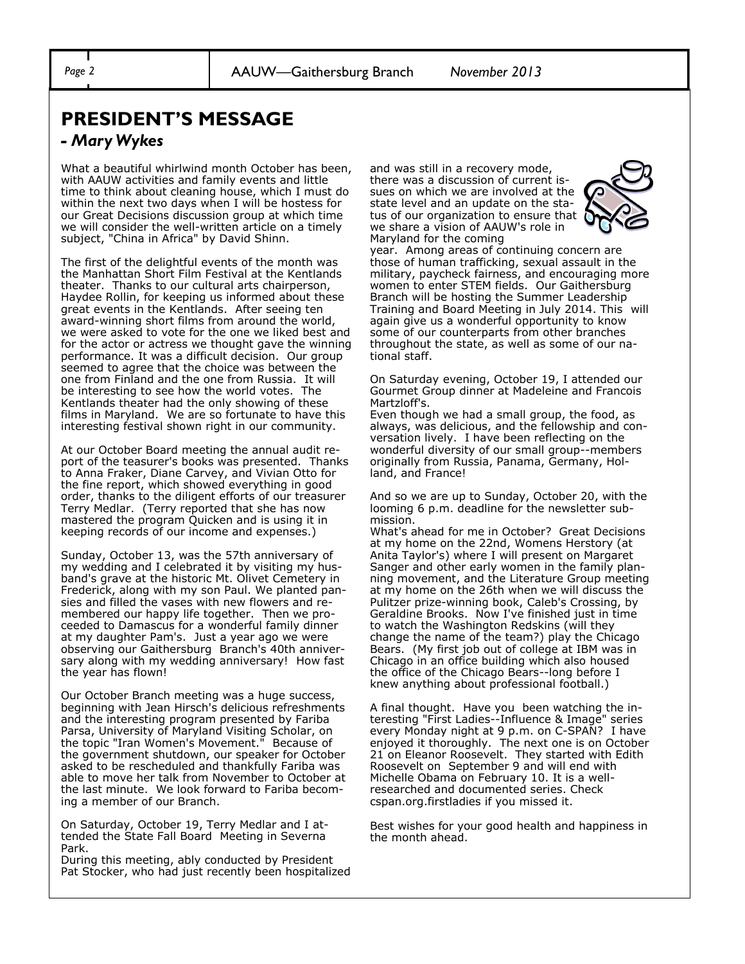### **PRESIDENT'S MESSAGE**

#### *- Mary Wykes*

What a beautiful whirlwind month October has been, with AAUW activities and family events and little time to think about cleaning house, which I must do within the next two days when I will be hostess for our Great Decisions discussion group at which time we will consider the well-written article on a timely subject, "China in Africa" by David Shinn.

The first of the delightful events of the month was the Manhattan Short Film Festival at the Kentlands theater. Thanks to our cultural arts chairperson, Haydee Rollin, for keeping us informed about these great events in the Kentlands. After seeing ten award-winning short films from around the world, we were asked to vote for the one we liked best and for the actor or actress we thought gave the winning performance. It was a difficult decision. Our group seemed to agree that the choice was between the one from Finland and the one from Russia. It will be interesting to see how the world votes. The Kentlands theater had the only showing of these films in Maryland. We are so fortunate to have this interesting festival shown right in our community.

At our October Board meeting the annual audit report of the teasurer's books was presented. Thanks to Anna Fraker, Diane Carvey, and Vivian Otto for the fine report, which showed everything in good order, thanks to the diligent efforts of our treasurer Terry Medlar. (Terry reported that she has now mastered the program Quicken and is using it in keeping records of our income and expenses.)

Sunday, October 13, was the 57th anniversary of my wedding and I celebrated it by visiting my husband's grave at the historic Mt. Olivet Cemetery in Frederick, along with my son Paul. We planted pansies and filled the vases with new flowers and remembered our happy life together. Then we proceeded to Damascus for a wonderful family dinner at my daughter Pam's. Just a year ago we were observing our Gaithersburg Branch's 40th anniversary along with my wedding anniversary! How fast the year has flown!

Our October Branch meeting was a huge success, beginning with Jean Hirsch's delicious refreshments and the interesting program presented by Fariba Parsa, University of Maryland Visiting Scholar, on the topic "Iran Women's Movement." Because of the government shutdown, our speaker for October asked to be rescheduled and thankfully Fariba was able to move her talk from November to October at the last minute. We look forward to Fariba becoming a member of our Branch.

On Saturday, October 19, Terry Medlar and I attended the State Fall Board Meeting in Severna Park.

During this meeting, ably conducted by President Pat Stocker, who had just recently been hospitalized and was still in a recovery mode, there was a discussion of current issues on which we are involved at the state level and an update on the status of our organization to ensure that we share a vision of AAUW's role in Maryland for the coming



year. Among areas of continuing concern are those of human trafficking, sexual assault in the military, paycheck fairness, and encouraging more women to enter STEM fields. Our Gaithersburg Branch will be hosting the Summer Leadership Training and Board Meeting in July 2014. This will again give us a wonderful opportunity to know some of our counterparts from other branches throughout the state, as well as some of our national staff.

On Saturday evening, October 19, I attended our Gourmet Group dinner at Madeleine and Francois Martzloff's.

Even though we had a small group, the food, as always, was delicious, and the fellowship and conversation lively. I have been reflecting on the wonderful diversity of our small group--members originally from Russia, Panama, Germany, Holland, and France!

And so we are up to Sunday, October 20, with the looming 6 p.m. deadline for the newsletter submission.

What's ahead for me in October? Great Decisions at my home on the 22nd, Womens Herstory (at Anita Taylor's) where I will present on Margaret Sanger and other early women in the family planning movement, and the Literature Group meeting at my home on the 26th when we will discuss the Pulitzer prize-winning book, Caleb's Crossing, by Geraldine Brooks. Now I've finished just in time to watch the Washington Redskins (will they change the name of the team?) play the Chicago Bears. (My first job out of college at IBM was in Chicago in an office building which also housed the office of the Chicago Bears--long before I knew anything about professional football.)

A final thought. Have you been watching the interesting "First Ladies--Influence & Image" series every Monday night at 9 p.m. on C-SPAN? I have enjoyed it thoroughly. The next one is on October 21 on Eleanor Roosevelt. They started with Edith Roosevelt on September 9 and will end with Michelle Obama on February 10. It is a wellresearched and documented series. Check cspan.org.firstladies if you missed it.

Best wishes for your good health and happiness in the month ahead.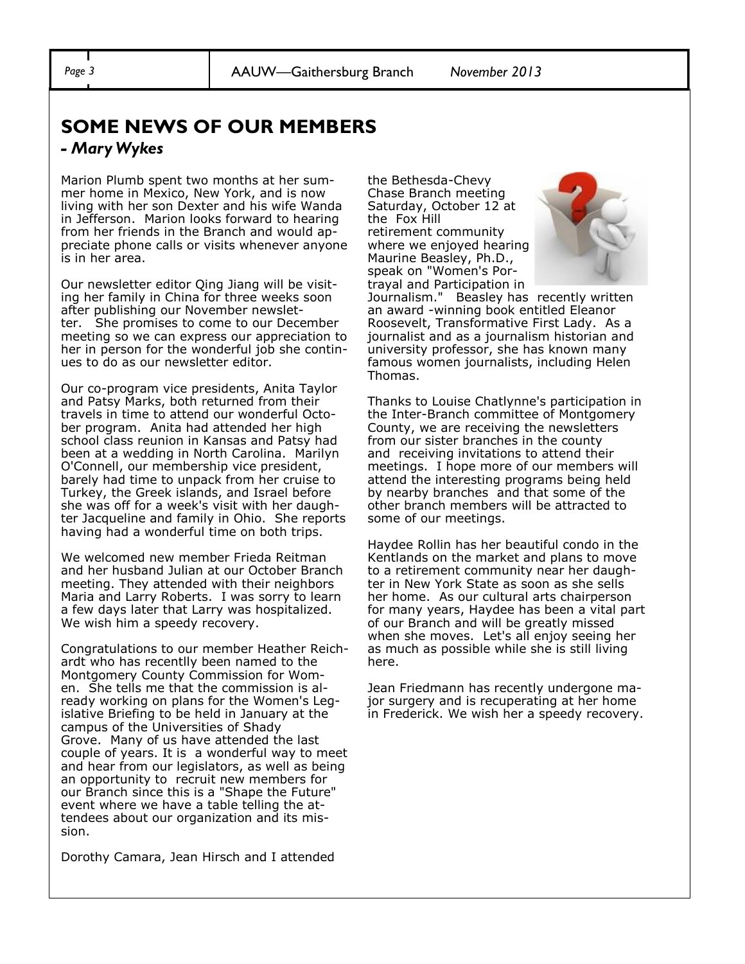### **SOME NEWS OF OUR MEMBERS** *- Mary Wykes*

Marion Plumb spent two months at her summer home in Mexico, New York, and is now living with her son Dexter and his wife Wanda in Jefferson. Marion looks forward to hearing from her friends in the Branch and would appreciate phone calls or visits whenever anyone is in her area.

Our newsletter editor Qing Jiang will be visiting her family in China for three weeks soon after publishing our November newsletter. She promises to come to our December meeting so we can express our appreciation to her in person for the wonderful job she continues to do as our newsletter editor.

Our co-program vice presidents, Anita Taylor and Patsy Marks, both returned from their travels in time to attend our wonderful October program. Anita had attended her high school class reunion in Kansas and Patsy had been at a wedding in North Carolina. Marilyn O'Connell, our membership vice president, barely had time to unpack from her cruise to Turkey, the Greek islands, and Israel before she was off for a week's visit with her daughter Jacqueline and family in Ohio. She reports having had a wonderful time on both trips.

We welcomed new member Frieda Reitman and her husband Julian at our October Branch meeting. They attended with their neighbors Maria and Larry Roberts. I was sorry to learn a few days later that Larry was hospitalized. We wish him a speedy recovery.

Congratulations to our member Heather Reichardt who has recentlly been named to the Montgomery County Commission for Women. She tells me that the commission is already working on plans for the Women's Legislative Briefing to be held in January at the campus of the Universities of Shady Grove. Many of us have attended the last couple of years. It is a wonderful way to meet and hear from our legislators, as well as being an opportunity to recruit new members for our Branch since this is a "Shape the Future" event where we have a table telling the attendees about our organization and its mission.

Dorothy Camara, Jean Hirsch and I attended

the Bethesda-Chevy Chase Branch meeting Saturday, October 12 at the Fox Hill retirement community where we enjoyed hearing Maurine Beasley, Ph.D., speak on "Women's Portrayal and Participation in



Journalism." Beasley has recently written an award -winning book entitled Eleanor Roosevelt, Transformative First Lady. As a journalist and as a journalism historian and university professor, she has known many famous women journalists, including Helen Thomas.

Thanks to Louise Chatlynne's participation in the Inter-Branch committee of Montgomery County, we are receiving the newsletters from our sister branches in the county and receiving invitations to attend their meetings. I hope more of our members will attend the interesting programs being held by nearby branches and that some of the other branch members will be attracted to some of our meetings.

Haydee Rollin has her beautiful condo in the Kentlands on the market and plans to move to a retirement community near her daughter in New York State as soon as she sells her home. As our cultural arts chairperson for many years, Haydee has been a vital part of our Branch and will be greatly missed when she moves. Let's all enjoy seeing her as much as possible while she is still living here.

Jean Friedmann has recently undergone major surgery and is recuperating at her home in Frederick. We wish her a speedy recovery.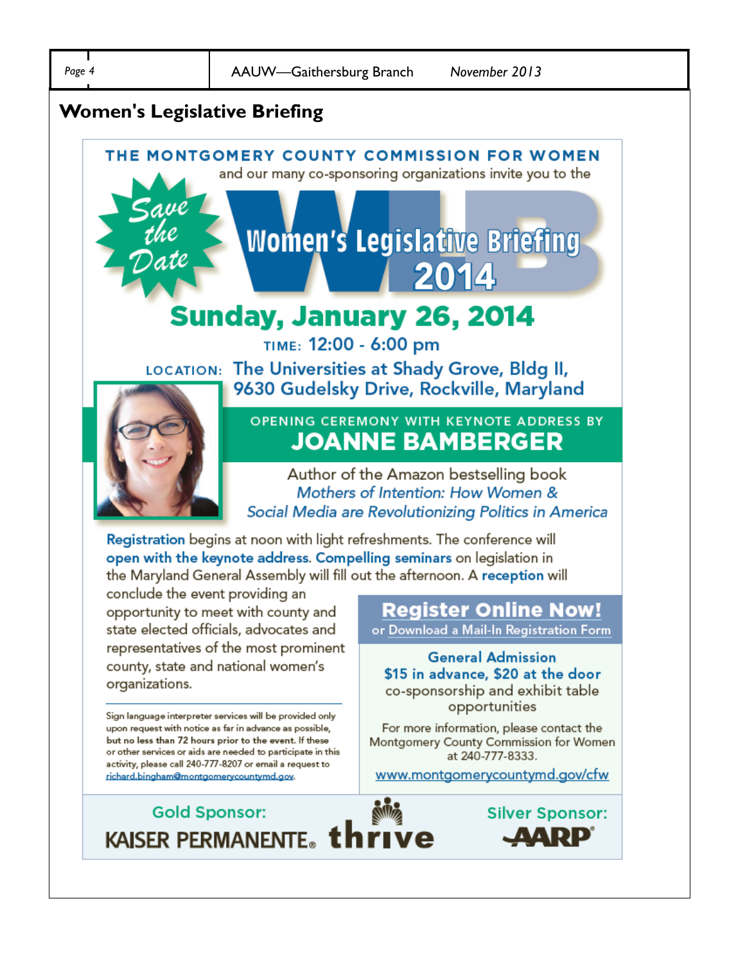### **Women's Legislative Briefing**

THE MONTGOMERY COUNTY COMMISSION FOR WOMEN

and our many co-sponsoring organizations invite you to the

# **Women's Legislative Briefing** 2014

# Sunday, January 26, 2014

TIME: 12:00 - 6:00 pm

LOCATION: The Universities at Shady Grove, Bldg II, 9630 Gudelsky Drive, Rockville, Maryland



### OPENING CEREMONY WITH KEYNOTE ADDRESS BY **JOANNE BAMBERGER**

Author of the Amazon bestselling book Mothers of Intention: How Women & Social Media are Revolutionizing Politics in America

Registration begins at noon with light refreshments. The conference will open with the keynote address. Compelling seminars on legislation in the Maryland General Assembly will fill out the afternoon. A reception will

conclude the event providing an opportunity to meet with county and state elected officials, advocates and representatives of the most prominent county, state and national women's organizations.

Sign language interpreter services will be provided only

or other services or aids are needed to participate in this

activity, please call 240-777-8207 or email a request to

richard.bingham@montgomerycountymd.gov.

upon request with notice as far in advance as possible, but no less than 72 hours prior to the event. If these

**Register Online Now!** or Download a Mail-In Registration Form

**General Admission** \$15 in advance, \$20 at the door co-sponsorship and exhibit table opportunities

For more information, please contact the Montgomery County Commission for Women at 240-777-8333.

www.montgomerycountymd.gov/cfw

**Silver Sponsor:** 

AARD

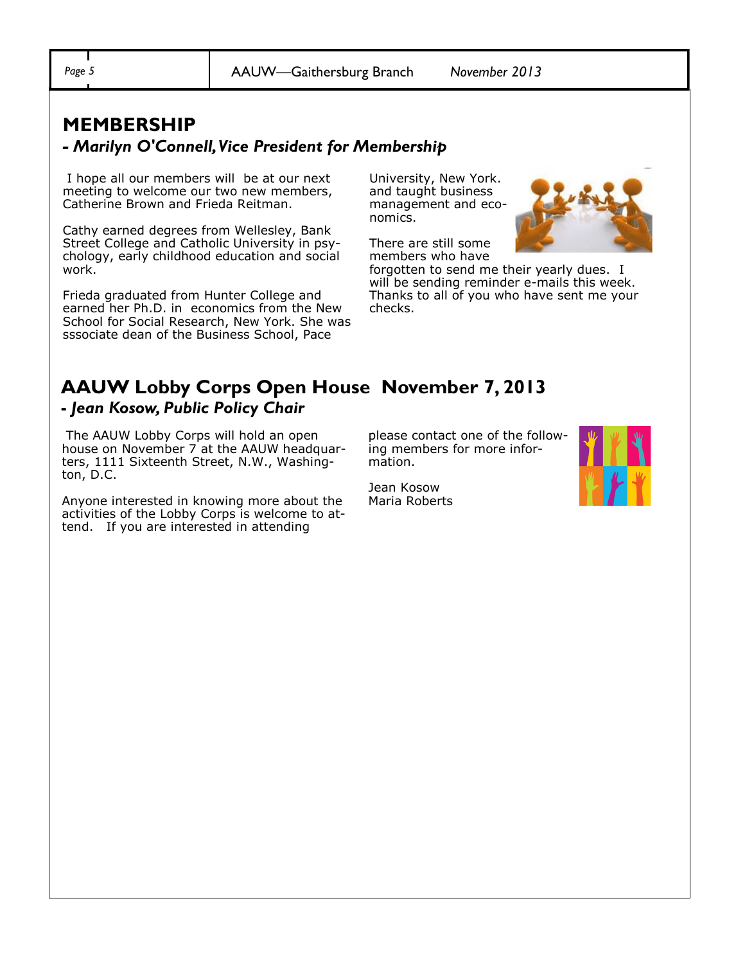*Page 5* AAUW—Gaithersburg Branch *November 2013*

### **MEMBERSHIP**

#### *- Marilyn O'Connell, Vice President for Membership*

I hope all our members will be at our next meeting to welcome our two new members, Catherine Brown and Frieda Reitman.

Cathy earned degrees from Wellesley, Bank Street College and Catholic University in psychology, early childhood education and social work.

Frieda graduated from Hunter College and earned her Ph.D. in economics from the New School for Social Research, New York. She was sssociate dean of the Business School, Pace

University, New York. and taught business management and economics.

There are still some members who have



forgotten to send me their yearly dues. I will be sending reminder e-mails this week. Thanks to all of you who have sent me your checks.

### **AAUW Lobby Corps Open House November 7, 2013 -** *Jean Kosow, Public Policy Chair*

The AAUW Lobby Corps will hold an open house on November 7 at the AAUW headquarters, 1111 Sixteenth Street, N.W., Washington, D.C.

Anyone interested in knowing more about the activities of the Lobby Corps is welcome to attend. If you are interested in attending

please contact one of the following members for more information.



Jean Kosow Maria Roberts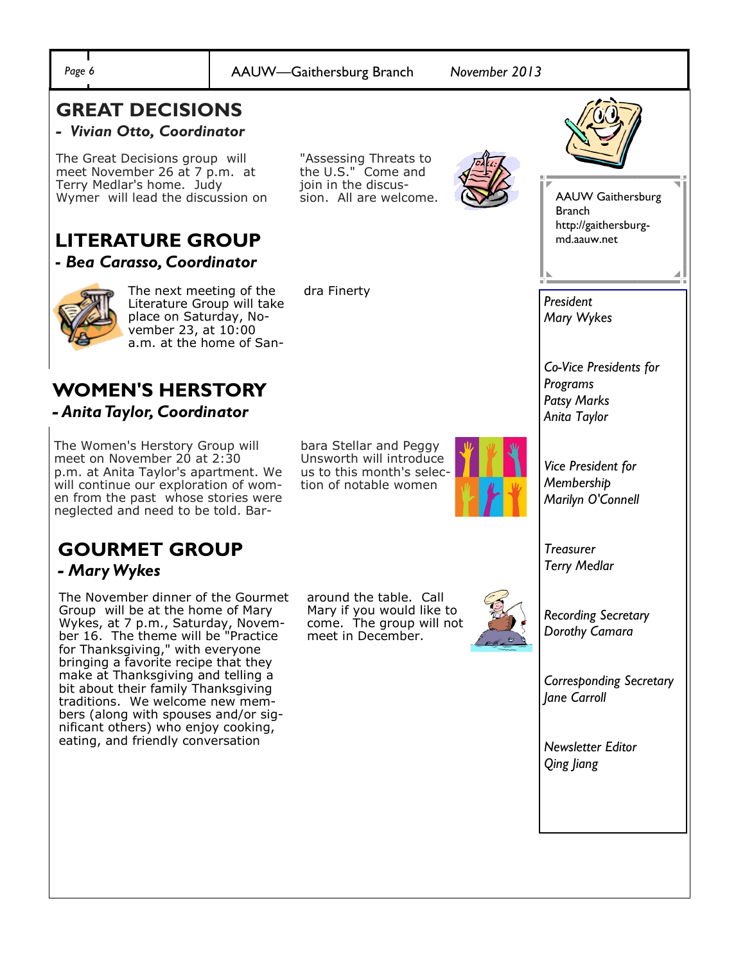

**WOMEN'S HERSTORY** *- Anita Taylor, Coordinator* 

The Women's Herstory Group will meet on November 20 at 2:30 p.m. at Anita Taylor's apartment. We will continue our exploration of women from the past whose stories were neglected and need to be told. Bar-

### **GOURMET GROUP** *- Mary Wykes*

The November dinner of the Gourmet Group will be at the home of Mary Wykes, at 7 p.m., Saturday, November 16. The theme will be "Practice for Thanksgiving," with everyone bringing a favorite recipe that they make at Thanksgiving and telling a bit about their family Thanksgiving traditions. We welcome new members (along with spouses and/or significant others) who enjoy cooking, eating, and friendly conversation

bara Stellar and Peggy Unsworth will introduce us to this month's selection of notable women



around the table. Call Mary if you would like to come. The group will not meet in December.



*Recording Secretary Dorothy Camara*

*Programs Patsy Marks Anita Taylor*

*Treasurer Terry Medlar* 

*Vice President for Membership Marilyn O'Connell*

*Corresponding Secretary Jane Carroll* 

*Newsletter Editor Qing Jiang*